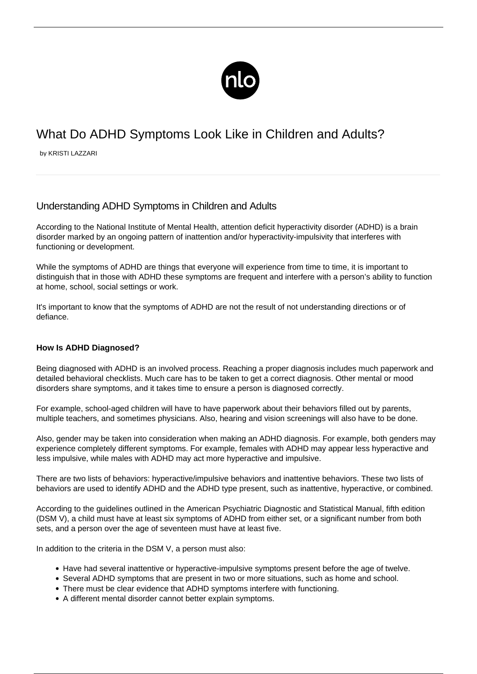

# What Do ADHD Symptoms Look Like in Children and Adults?

by KRISTI LAZZARI

## Understanding ADHD Symptoms in Children and Adults

According to the National Institute of Mental Health, attention deficit hyperactivity disorder (ADHD) is a brain disorder marked by an ongoing pattern of inattention and/or hyperactivity-impulsivity that interferes with functioning or development.

While the symptoms of ADHD are things that everyone will experience from time to time, it is important to distinguish that in those with ADHD these symptoms are frequent and interfere with a person's ability to function at home, school, social settings or work.

It's important to know that the symptoms of ADHD are not the result of not understanding directions or of defiance.

## **How Is ADHD Diagnosed?**

Being diagnosed with ADHD is an involved process. Reaching a proper diagnosis includes much paperwork and detailed behavioral checklists. Much care has to be taken to get a correct diagnosis. Other mental or mood disorders share symptoms, and it takes time to ensure a person is diagnosed correctly.

For example, [school-aged children](/diagnosis-of-adhd/) will have to have paperwork about their behaviors filled out by parents, multiple teachers, and sometimes physicians. Also, hearing and vision screenings will also have to be done.

Also, gender may be taken into consideration when making an ADHD diagnosis. For example, both genders may experience completely different symptoms. For example, [females with ADHD](https://totallyadd.com/blog/common-adhd-symptoms-in-women/) may appear less hyperactive and less impulsive, while males with ADHD may act more hyperactive and impulsive.

There are two lists of behaviors: hyperactive/impulsive behaviors and inattentive behaviors. These two lists of behaviors are used to identify ADHD and the ADHD type present, such as inattentive, hyperactive, or combined.

According to the guidelines outlined in the American Psychiatric Diagnostic and Statistical Manual, fifth edition (DSM V), a child must have at least six symptoms of ADHD from either set, or a significant number from both sets, and a person over the age of seventeen must have at least five.

In addition to the criteria in the DSM V, a person must also:

- Have had several inattentive or hyperactive-impulsive symptoms present before the age of twelve.
- Several ADHD symptoms that are present in two or more situations, such as home and school.
- There must be clear evidence that ADHD symptoms interfere with functioning.
- A different mental disorder cannot better explain symptoms.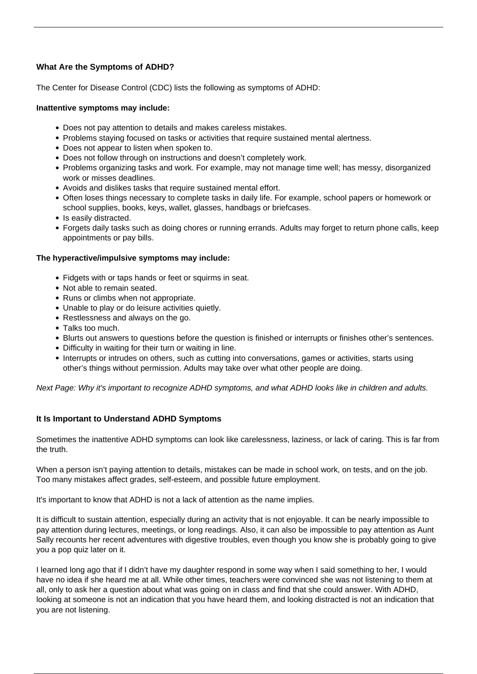## **What Are the Symptoms of ADHD?**

The Center for Disease Control (CDC) lists the following as symptoms of ADHD:

## **Inattentive symptoms may include:**

- Does not pay attention to details and makes careless mistakes.
- Problems staying focused on tasks or activities that require sustained mental alertness.
- Does not appear to listen when spoken to.
- Does not follow through on instructions and doesn't completely work.
- Problems organizing tasks and work. For example, may not manage time well; has messy, disorganized work or misses deadlines.
- Avoids and dislikes tasks that require sustained mental effort.
- Often loses things necessary to complete tasks in daily life. For example, school papers or homework or school supplies, books, keys, wallet, glasses, handbags or briefcases.
- Is easily distracted.
- Forgets daily tasks such as doing chores or running errands. Adults may forget to return phone calls, keep appointments or pay bills.

## **The hyperactive/impulsive symptoms may include:**

- Fidgets with or taps hands or feet or squirms in seat.
- Not able to remain seated.
- Runs or climbs when not appropriate.
- Unable to play or do leisure activities quietly.
- Restlessness and always on the go.
- Talks too much.
- Blurts out answers to questions before the question is finished or interrupts or finishes other's sentences.
- Difficulty in waiting for their turn or waiting in line.
- Interrupts or intrudes on others, such as cutting into conversations, games or activities, starts using other's things without permission. Adults may take over what other people are doing.

Next Page: Why it's important to recognize ADHD symptoms, and what ADHD looks like in children and adults.

## **It Is Important to Understand ADHD Symptoms**

Sometimes the [inattentive ADHD symptoms](/inattentive-adhd/) can look like carelessness, laziness, or lack of caring. This is far from the truth.

When a person isn't paying attention to details, mistakes can be made in school work, on tests, and on the job. Too many mistakes affect grades, self-esteem, and possible future employment.

It's important to know that ADHD is not a lack of attention as the name implies.

It is difficult to sustain attention, especially during an activity that is not enjoyable. It can be nearly impossible to pay attention during lectures, meetings, or long readings. Also, it can also be impossible to pay attention as Aunt Sally recounts her recent adventures with digestive troubles, even though you know she is probably going to give you a pop quiz later on it.

I learned long ago that if I didn't have my daughter respond in some way when I said something to her, I would have no idea if she heard me at all. While other times, teachers were convinced she was not listening to them at all, only to ask her a question about what was going on in class and find that she could answer. With ADHD, looking at someone is not an indication that you have heard them, and looking distracted is not an indication that you are not listening.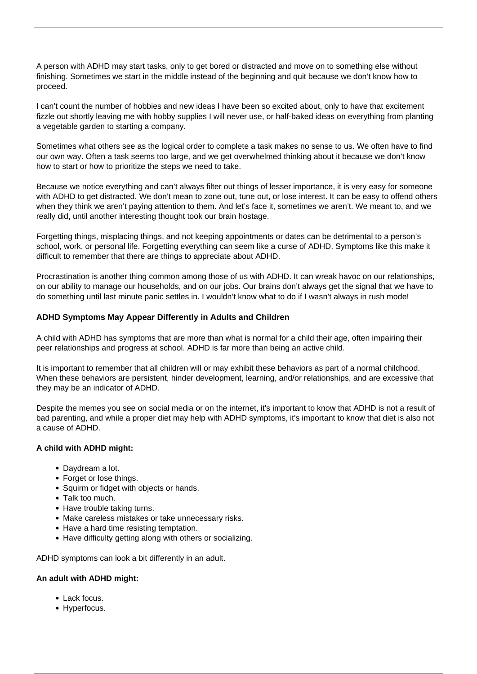A person with ADHD may start tasks, only to get bored or distracted and move on to something else without finishing. Sometimes we start in the middle instead of the beginning and quit because we don't know how to proceed.

I can't count the number of hobbies and new ideas I have been so excited about, only to have that excitement fizzle out shortly leaving me with hobby supplies I will never use, or half-baked ideas on everything from planting a vegetable garden to starting a company.

Sometimes what others see as the logical order to complete a task makes no sense to us. We often have to find our own way. Often a task seems too large, and we get overwhelmed thinking about it because we don't know how to start or how to prioritize the steps we need to take.

Because we notice everything and can't always filter out things of lesser importance, it is very easy for someone with ADHD to get distracted. We don't mean to zone out, tune out, or lose interest. It can be easy to offend others when they think we aren't paying attention to them. And let's face it, sometimes we aren't. We meant to, and we really did, until another interesting thought took our brain hostage.

Forgetting things, misplacing things, and not keeping appointments or dates can be detrimental to a person's school, work, or personal life. Forgetting everything can seem like a curse of ADHD. Symptoms like this make it difficult to remember that there are things to appreciate about ADHD.

Procrastination is another thing common among those of us with ADHD. It can wreak havoc on our relationships, on our ability to manage our households, and on our jobs. Our brains don't always get the signal that we have to do something until last minute panic settles in. I wouldn't know what to do if I wasn't always in rush mode!

## **ADHD Symptoms May Appear Differently in Adults and Children**

[A child with ADHD](/adhd-symptoms-in-children/) has symptoms that are more than what is normal for a child their age, often impairing their peer relationships and progress at school. ADHD is far more than being an active child.

It is important to remember that all children will or may exhibit these behaviors as part of a normal childhood. When these behaviors are persistent, hinder development, learning, and/or relationships, and are excessive that they may be an indicator of ADHD.

Despite the memes you see on social media or on the internet, it's important to know that ADHD is not a result of bad parenting, and while a proper diet may help with ADHD symptoms, it's important to know that diet is also not a cause of ADHD.

## **A child with ADHD might:**

- Daydream a lot.
- Forget or lose things.
- Squirm or fidget with objects or hands.
- Talk too much.
- Have trouble taking turns.
- Make careless mistakes or take unnecessary risks.
- Have a hard time resisting temptation.
- Have difficulty getting along with others or socializing.

ADHD symptoms can look a bit differently in an adult.

## **An adult with ADHD might:**

- Lack focus.
- Hyperfocus.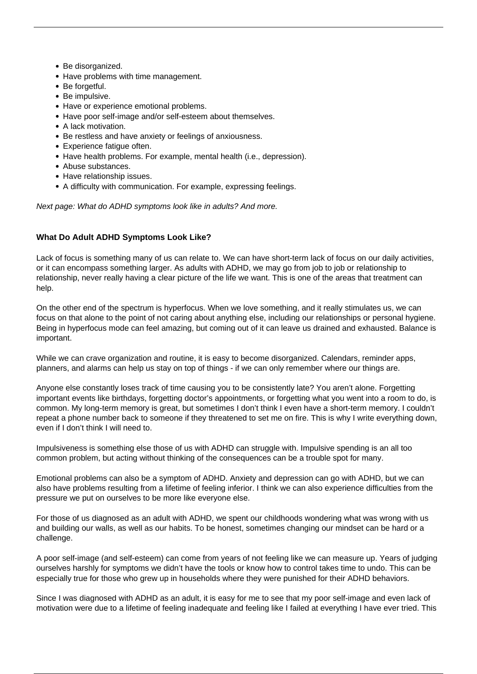- Be disorganized.
- Have problems with time management.
- Be forgetful.
- Be impulsive.
- Have or experience emotional problems.
- Have poor self-image and/or self-esteem about themselves.
- A lack motivation.
- Be restless and have anxiety or feelings of anxiousness.
- Experience fatique often.
- Have health problems. For example, mental health (i.e., depression).
- Abuse substances.
- Have relationship issues.
- A difficulty with communication. For example, expressing feelings.

Next page: What do ADHD symptoms look like in adults? And more.

## **What Do Adult ADHD Symptoms Look Like?**

Lack of focus is something many of us can relate to. We can have short-term lack of focus on our daily activities, or it can encompass something larger. As adults with ADHD, we may go from job to job or relationship to relationship, never really having a clear picture of the life we want. This is one of the areas that treatment can help.

On the other end of the spectrum is hyperfocus. When we love something, and it really stimulates us, we can focus on that alone to the point of not caring about anything else, including our relationships or personal hygiene. Being in hyperfocus mode can feel amazing, but coming out of it can leave us drained and exhausted. Balance is important.

While we can crave organization and routine, it is easy to become disorganized. Calendars, reminder apps, planners, and alarms can help us stay on top of things - if we can only remember where our things are.

Anyone else constantly loses track of time causing you to be consistently late? You aren't alone. Forgetting important events like birthdays, forgetting doctor's appointments, or forgetting what you went into a room to do, is common. My long-term memory is great, but sometimes I don't think I even have a short-term memory. I couldn't repeat a phone number back to someone if they threatened to set me on fire. This is why I write everything down, even if I don't think I will need to.

Impulsiveness is something else those of us with ADHD can struggle with. Impulsive spending is an all too common problem, but acting without thinking of the consequences can be a trouble spot for many.

Emotional problems can also be a symptom of ADHD. Anxiety and depression can go with ADHD, but we can also have problems resulting from a lifetime of feeling inferior. I think we can also experience difficulties from the pressure we put on ourselves to be more like everyone else.

For those of us diagnosed as an adult with ADHD, we spent our childhoods wondering what was wrong with us and building our walls, as well as our habits. To be honest, sometimes changing our mindset can be hard or a challenge.

A poor self-image (and self-esteem) can come from years of not feeling like we can measure up. Years of judging ourselves harshly for symptoms we didn't have the tools or know how to control takes time to undo. This can be especially true for those who grew up in households where they were punished for their ADHD behaviors.

Since I was [diagnosed with ADHD as an adult,](/diagnosed-with-adult-adhd/) it is easy for me to see that my poor self-image and even lack of motivation were due to a lifetime of feeling inadequate and feeling like I failed at everything I have ever tried. This